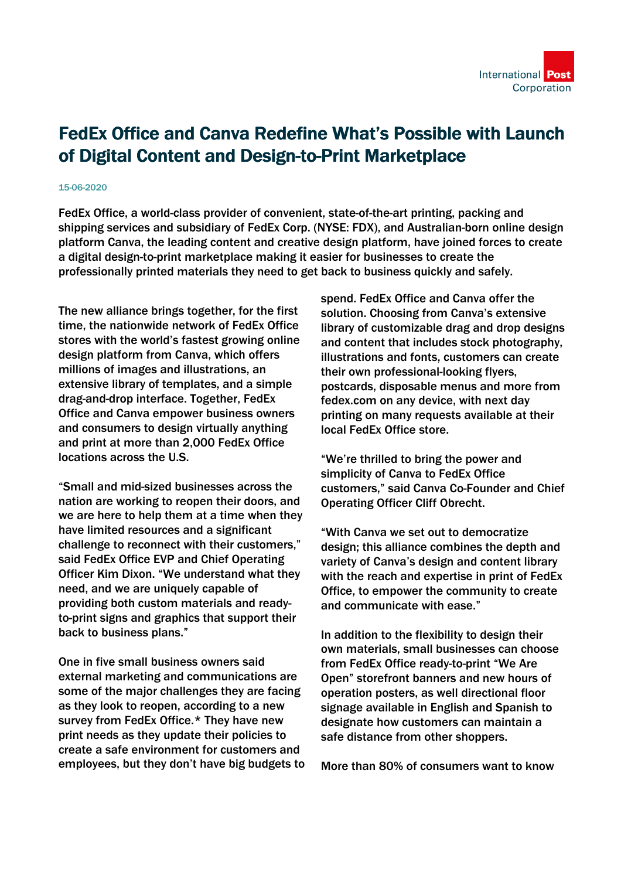

## FedEx Office and Canva Redefine What's Possible with Launch of Digital Content and Design-to-Print Marketplace

## 15-06-2020

FedEx Office, a world-class provider of convenient, state-of-the-art printing, packing and shipping services and subsidiary of FedEx Corp. (NYSE: FDX), and Australian-born online design platform Canva, the leading content and creative design platform, have joined forces to create a digital design-to-print marketplace making it easier for businesses to create the professionally printed materials they need to get back to business quickly and safely.

The new alliance brings together, for the first time, the nationwide network of FedEx Office stores with the world's fastest growing online design platform from Canva, which offers millions of images and illustrations, an extensive library of templates, and a simple drag-and-drop interface. Together, FedEx Office and Canva empower business owners and consumers to design virtually anything and print at more than 2,000 FedEx Office locations across the U.S.

"Small and mid-sized businesses across the nation are working to reopen their doors, and we are here to help them at a time when they have limited resources and a significant challenge to reconnect with their customers," said FedEx Office EVP and Chief Operating Officer Kim Dixon. "We understand what they need, and we are uniquely capable of providing both custom materials and readyto-print signs and graphics that support their back to business plans."

One in five small business owners said external marketing and communications are some of the major challenges they are facing as they look to reopen, according to a new survey from FedEx Office.\* They have new print needs as they update their policies to create a safe environment for customers and employees, but they don't have big budgets to spend. FedEx Office and Canva offer the solution. Choosing from Canva's extensive library of customizable drag and drop designs and content that includes stock photography, illustrations and fonts, customers can create their own professional-looking flyers, postcards, disposable menus and more from fedex.com on any device, with next day printing on many requests available at their local FedEx Office store.

"We're thrilled to bring the power and simplicity of Canva to FedEx Office customers," said Canva Co-Founder and Chief Operating Officer Cliff Obrecht.

"With Canva we set out to democratize design; this alliance combines the depth and variety of Canva's design and content library with the reach and expertise in print of FedEx Office, to empower the community to create and communicate with ease."

In addition to the flexibility to design their own materials, small businesses can choose from FedEx Office ready-to-print "We Are Open" storefront banners and new hours of operation posters, as well directional floor signage available in English and Spanish to designate how customers can maintain a safe distance from other shoppers.

More than 80% of consumers want to know